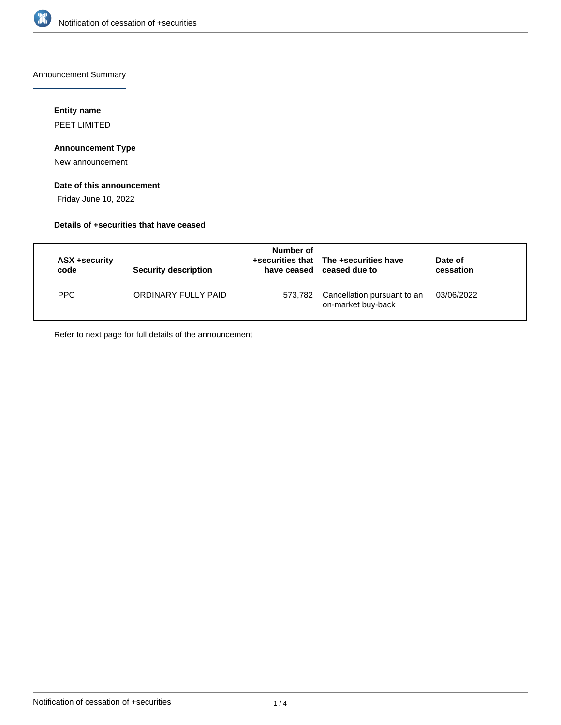

Announcement Summary

## **Entity name**

PEET LIMITED

# **Announcement Type**

New announcement

# **Date of this announcement**

Friday June 10, 2022

# **Details of +securities that have ceased**

| ASX +security<br>code | <b>Security description</b> | Number of<br>have ceased | +securities that The +securities have<br>ceased due to | Date of<br>cessation |  |
|-----------------------|-----------------------------|--------------------------|--------------------------------------------------------|----------------------|--|
| PPC                   | ORDINARY FULLY PAID         | 573.782                  | Cancellation pursuant to an<br>on-market buy-back      | 03/06/2022           |  |

Refer to next page for full details of the announcement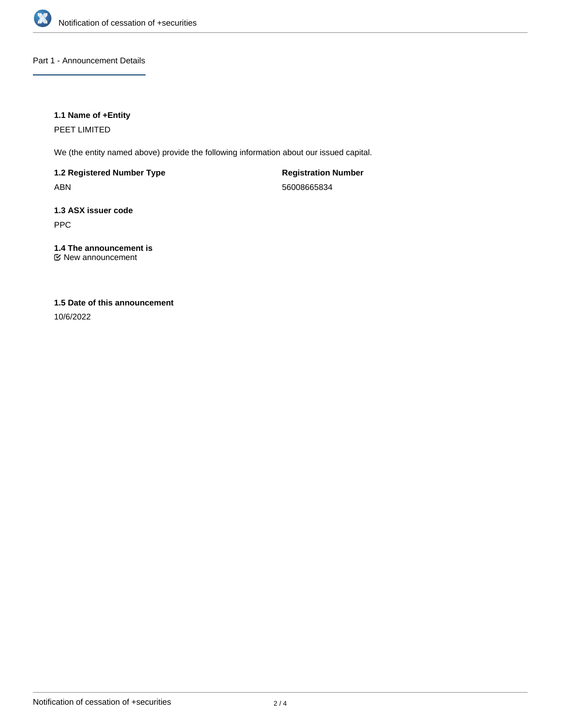

Part 1 - Announcement Details

# **1.1 Name of +Entity**

PEET LIMITED

We (the entity named above) provide the following information about our issued capital.

**1.2 Registered Number Type** ABN

**Registration Number** 56008665834

**1.3 ASX issuer code** PPC

**1.4 The announcement is** New announcement

# **1.5 Date of this announcement**

10/6/2022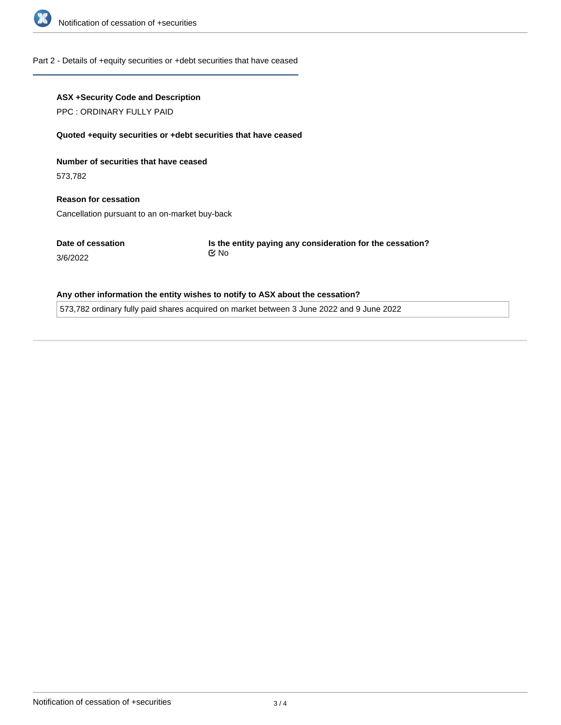

#### Part 2 - Details of +equity securities or +debt securities that have ceased

### **ASX +Security Code and Description**

PPC : ORDINARY FULLY PAID

#### **Quoted +equity securities or +debt securities that have ceased**

**Number of securities that have ceased**

573,782

3/6/2022

**Reason for cessation** Cancellation pursuant to an on-market buy-back

**Date of cessation**

**Is the entity paying any consideration for the cessation?** No

### **Any other information the entity wishes to notify to ASX about the cessation?**

573,782 ordinary fully paid shares acquired on market between 3 June 2022 and 9 June 2022